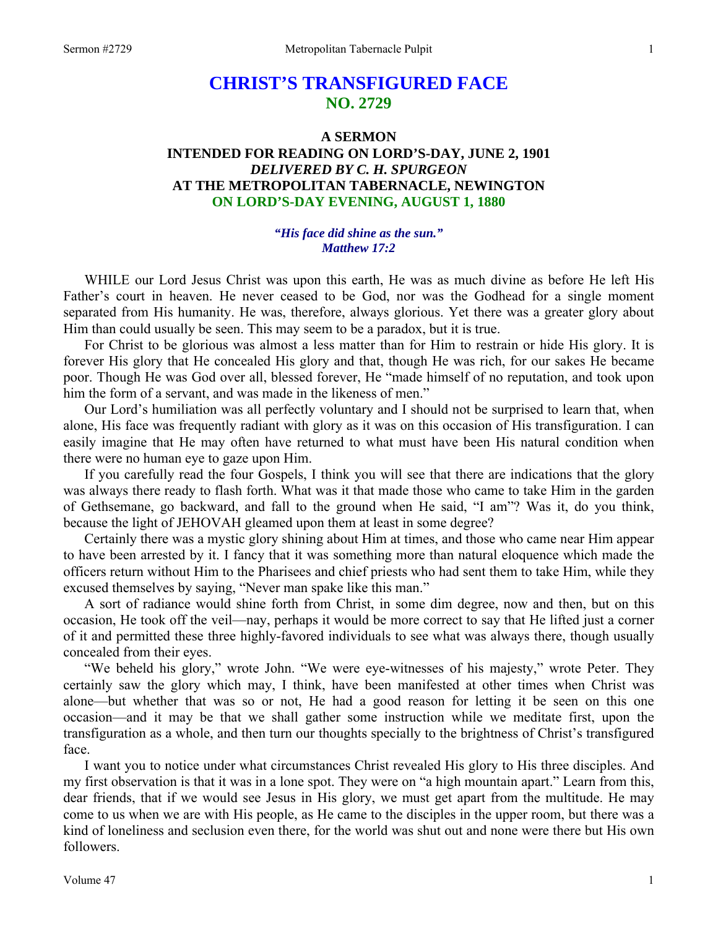# **CHRIST'S TRANSFIGURED FACE NO. 2729**

## **A SERMON INTENDED FOR READING ON LORD'S-DAY, JUNE 2, 1901**  *DELIVERED BY C. H. SPURGEON*  **AT THE METROPOLITAN TABERNACLE, NEWINGTON ON LORD'S-DAY EVENING, AUGUST 1, 1880**

### *"His face did shine as the sun." Matthew 17:2*

WHILE our Lord Jesus Christ was upon this earth, He was as much divine as before He left His Father's court in heaven. He never ceased to be God, nor was the Godhead for a single moment separated from His humanity. He was, therefore, always glorious. Yet there was a greater glory about Him than could usually be seen. This may seem to be a paradox, but it is true.

 For Christ to be glorious was almost a less matter than for Him to restrain or hide His glory. It is forever His glory that He concealed His glory and that, though He was rich, for our sakes He became poor. Though He was God over all, blessed forever, He "made himself of no reputation, and took upon him the form of a servant, and was made in the likeness of men."

 Our Lord's humiliation was all perfectly voluntary and I should not be surprised to learn that, when alone, His face was frequently radiant with glory as it was on this occasion of His transfiguration. I can easily imagine that He may often have returned to what must have been His natural condition when there were no human eye to gaze upon Him.

 If you carefully read the four Gospels, I think you will see that there are indications that the glory was always there ready to flash forth. What was it that made those who came to take Him in the garden of Gethsemane, go backward, and fall to the ground when He said, "I am"? Was it, do you think, because the light of JEHOVAH gleamed upon them at least in some degree?

 Certainly there was a mystic glory shining about Him at times, and those who came near Him appear to have been arrested by it. I fancy that it was something more than natural eloquence which made the officers return without Him to the Pharisees and chief priests who had sent them to take Him, while they excused themselves by saying, "Never man spake like this man."

 A sort of radiance would shine forth from Christ, in some dim degree, now and then, but on this occasion, He took off the veil—nay, perhaps it would be more correct to say that He lifted just a corner of it and permitted these three highly-favored individuals to see what was always there, though usually concealed from their eyes.

 "We beheld his glory," wrote John. "We were eye-witnesses of his majesty," wrote Peter. They certainly saw the glory which may, I think, have been manifested at other times when Christ was alone—but whether that was so or not, He had a good reason for letting it be seen on this one occasion—and it may be that we shall gather some instruction while we meditate first, upon the transfiguration as a whole, and then turn our thoughts specially to the brightness of Christ's transfigured face.

 I want you to notice under what circumstances Christ revealed His glory to His three disciples. And my first observation is that it was in a lone spot. They were on "a high mountain apart." Learn from this, dear friends, that if we would see Jesus in His glory, we must get apart from the multitude. He may come to us when we are with His people, as He came to the disciples in the upper room, but there was a kind of loneliness and seclusion even there, for the world was shut out and none were there but His own followers.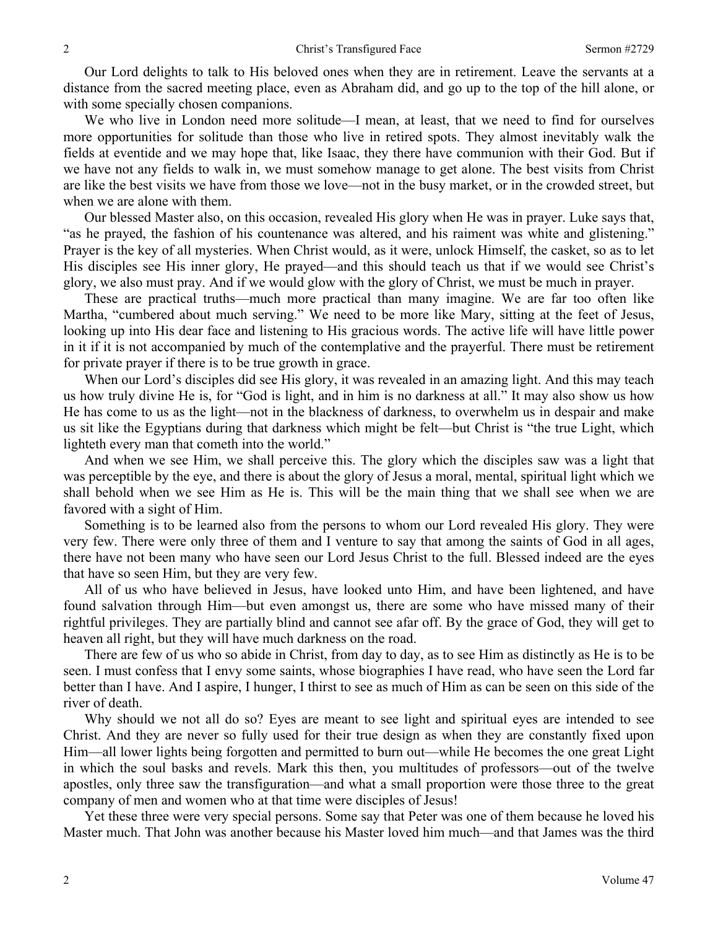Our Lord delights to talk to His beloved ones when they are in retirement. Leave the servants at a distance from the sacred meeting place, even as Abraham did, and go up to the top of the hill alone, or with some specially chosen companions.

 We who live in London need more solitude—I mean, at least, that we need to find for ourselves more opportunities for solitude than those who live in retired spots. They almost inevitably walk the fields at eventide and we may hope that, like Isaac, they there have communion with their God. But if we have not any fields to walk in, we must somehow manage to get alone. The best visits from Christ are like the best visits we have from those we love—not in the busy market, or in the crowded street, but when we are alone with them.

 Our blessed Master also, on this occasion, revealed His glory when He was in prayer. Luke says that, "as he prayed, the fashion of his countenance was altered, and his raiment was white and glistening." Prayer is the key of all mysteries. When Christ would, as it were, unlock Himself, the casket, so as to let His disciples see His inner glory, He prayed—and this should teach us that if we would see Christ's glory, we also must pray. And if we would glow with the glory of Christ, we must be much in prayer.

 These are practical truths—much more practical than many imagine. We are far too often like Martha, "cumbered about much serving." We need to be more like Mary, sitting at the feet of Jesus, looking up into His dear face and listening to His gracious words. The active life will have little power in it if it is not accompanied by much of the contemplative and the prayerful. There must be retirement for private prayer if there is to be true growth in grace.

 When our Lord's disciples did see His glory, it was revealed in an amazing light. And this may teach us how truly divine He is, for "God is light, and in him is no darkness at all." It may also show us how He has come to us as the light—not in the blackness of darkness, to overwhelm us in despair and make us sit like the Egyptians during that darkness which might be felt—but Christ is "the true Light, which lighteth every man that cometh into the world."

 And when we see Him, we shall perceive this. The glory which the disciples saw was a light that was perceptible by the eye, and there is about the glory of Jesus a moral, mental, spiritual light which we shall behold when we see Him as He is. This will be the main thing that we shall see when we are favored with a sight of Him.

 Something is to be learned also from the persons to whom our Lord revealed His glory. They were very few. There were only three of them and I venture to say that among the saints of God in all ages, there have not been many who have seen our Lord Jesus Christ to the full. Blessed indeed are the eyes that have so seen Him, but they are very few.

 All of us who have believed in Jesus, have looked unto Him, and have been lightened, and have found salvation through Him—but even amongst us, there are some who have missed many of their rightful privileges. They are partially blind and cannot see afar off. By the grace of God, they will get to heaven all right, but they will have much darkness on the road.

 There are few of us who so abide in Christ, from day to day, as to see Him as distinctly as He is to be seen. I must confess that I envy some saints, whose biographies I have read, who have seen the Lord far better than I have. And I aspire, I hunger, I thirst to see as much of Him as can be seen on this side of the river of death.

 Why should we not all do so? Eyes are meant to see light and spiritual eyes are intended to see Christ. And they are never so fully used for their true design as when they are constantly fixed upon Him—all lower lights being forgotten and permitted to burn out—while He becomes the one great Light in which the soul basks and revels. Mark this then, you multitudes of professors—out of the twelve apostles, only three saw the transfiguration—and what a small proportion were those three to the great company of men and women who at that time were disciples of Jesus!

 Yet these three were very special persons. Some say that Peter was one of them because he loved his Master much. That John was another because his Master loved him much—and that James was the third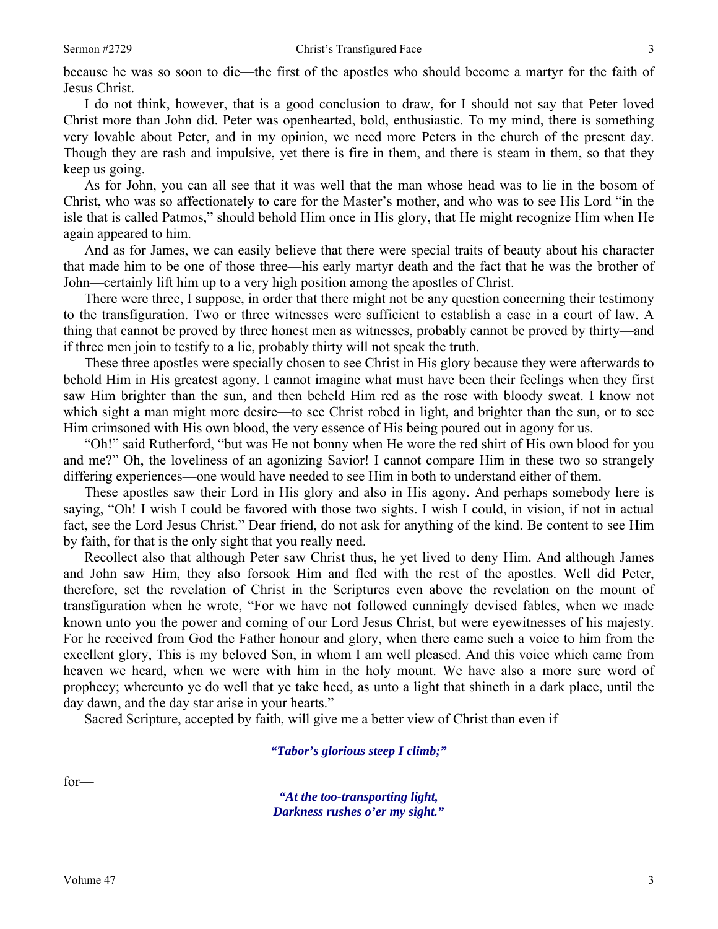because he was so soon to die—the first of the apostles who should become a martyr for the faith of Jesus Christ.

 I do not think, however, that is a good conclusion to draw, for I should not say that Peter loved Christ more than John did. Peter was openhearted, bold, enthusiastic. To my mind, there is something very lovable about Peter, and in my opinion, we need more Peters in the church of the present day. Though they are rash and impulsive, yet there is fire in them, and there is steam in them, so that they keep us going.

 As for John, you can all see that it was well that the man whose head was to lie in the bosom of Christ, who was so affectionately to care for the Master's mother, and who was to see His Lord "in the isle that is called Patmos," should behold Him once in His glory, that He might recognize Him when He again appeared to him.

 And as for James, we can easily believe that there were special traits of beauty about his character that made him to be one of those three—his early martyr death and the fact that he was the brother of John—certainly lift him up to a very high position among the apostles of Christ.

 There were three, I suppose, in order that there might not be any question concerning their testimony to the transfiguration. Two or three witnesses were sufficient to establish a case in a court of law. A thing that cannot be proved by three honest men as witnesses, probably cannot be proved by thirty—and if three men join to testify to a lie, probably thirty will not speak the truth.

 These three apostles were specially chosen to see Christ in His glory because they were afterwards to behold Him in His greatest agony. I cannot imagine what must have been their feelings when they first saw Him brighter than the sun, and then beheld Him red as the rose with bloody sweat. I know not which sight a man might more desire—to see Christ robed in light, and brighter than the sun, or to see Him crimsoned with His own blood, the very essence of His being poured out in agony for us.

 "Oh!" said Rutherford, "but was He not bonny when He wore the red shirt of His own blood for you and me?" Oh, the loveliness of an agonizing Savior! I cannot compare Him in these two so strangely differing experiences—one would have needed to see Him in both to understand either of them.

 These apostles saw their Lord in His glory and also in His agony. And perhaps somebody here is saying, "Oh! I wish I could be favored with those two sights. I wish I could, in vision, if not in actual fact, see the Lord Jesus Christ." Dear friend, do not ask for anything of the kind. Be content to see Him by faith, for that is the only sight that you really need.

 Recollect also that although Peter saw Christ thus, he yet lived to deny Him. And although James and John saw Him, they also forsook Him and fled with the rest of the apostles. Well did Peter, therefore, set the revelation of Christ in the Scriptures even above the revelation on the mount of transfiguration when he wrote, "For we have not followed cunningly devised fables, when we made known unto you the power and coming of our Lord Jesus Christ, but were eyewitnesses of his majesty. For he received from God the Father honour and glory, when there came such a voice to him from the excellent glory, This is my beloved Son, in whom I am well pleased. And this voice which came from heaven we heard, when we were with him in the holy mount. We have also a more sure word of prophecy; whereunto ye do well that ye take heed, as unto a light that shineth in a dark place, until the day dawn, and the day star arise in your hearts."

Sacred Scripture, accepted by faith, will give me a better view of Christ than even if—

#### *"Tabor's glorious steep I climb;"*

for—

*"At the too-transporting light, Darkness rushes o'er my sight."*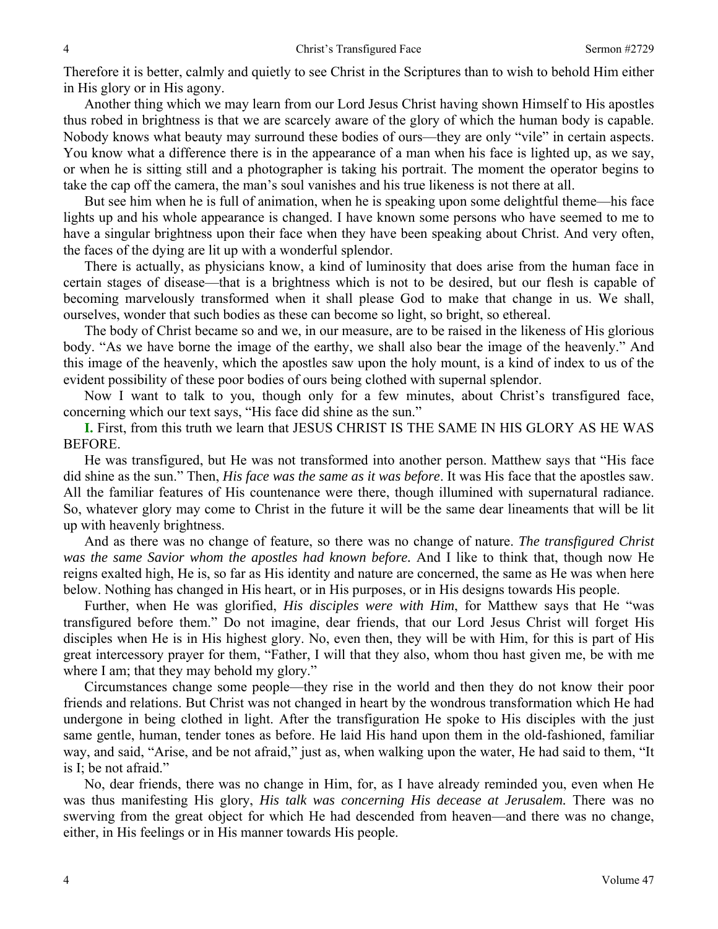Therefore it is better, calmly and quietly to see Christ in the Scriptures than to wish to behold Him either in His glory or in His agony.

 Another thing which we may learn from our Lord Jesus Christ having shown Himself to His apostles thus robed in brightness is that we are scarcely aware of the glory of which the human body is capable. Nobody knows what beauty may surround these bodies of ours—they are only "vile" in certain aspects. You know what a difference there is in the appearance of a man when his face is lighted up, as we say, or when he is sitting still and a photographer is taking his portrait. The moment the operator begins to take the cap off the camera, the man's soul vanishes and his true likeness is not there at all.

 But see him when he is full of animation, when he is speaking upon some delightful theme—his face lights up and his whole appearance is changed. I have known some persons who have seemed to me to have a singular brightness upon their face when they have been speaking about Christ. And very often, the faces of the dying are lit up with a wonderful splendor.

 There is actually, as physicians know, a kind of luminosity that does arise from the human face in certain stages of disease—that is a brightness which is not to be desired, but our flesh is capable of becoming marvelously transformed when it shall please God to make that change in us. We shall, ourselves, wonder that such bodies as these can become so light, so bright, so ethereal.

 The body of Christ became so and we, in our measure, are to be raised in the likeness of His glorious body. "As we have borne the image of the earthy, we shall also bear the image of the heavenly." And this image of the heavenly, which the apostles saw upon the holy mount, is a kind of index to us of the evident possibility of these poor bodies of ours being clothed with supernal splendor.

 Now I want to talk to you, though only for a few minutes, about Christ's transfigured face, concerning which our text says, "His face did shine as the sun."

**I.** First, from this truth we learn that JESUS CHRIST IS THE SAME IN HIS GLORY AS HE WAS BEFORE.

 He was transfigured, but He was not transformed into another person. Matthew says that "His face did shine as the sun." Then, *His face was the same as it was before*. It was His face that the apostles saw. All the familiar features of His countenance were there, though illumined with supernatural radiance. So, whatever glory may come to Christ in the future it will be the same dear lineaments that will be lit up with heavenly brightness.

 And as there was no change of feature, so there was no change of nature. *The transfigured Christ was the same Savior whom the apostles had known before.* And I like to think that, though now He reigns exalted high, He is, so far as His identity and nature are concerned, the same as He was when here below. Nothing has changed in His heart, or in His purposes, or in His designs towards His people.

 Further, when He was glorified, *His disciples were with Him*, for Matthew says that He "was transfigured before them." Do not imagine, dear friends, that our Lord Jesus Christ will forget His disciples when He is in His highest glory. No, even then, they will be with Him, for this is part of His great intercessory prayer for them, "Father, I will that they also, whom thou hast given me, be with me where I am; that they may behold my glory."

 Circumstances change some people—they rise in the world and then they do not know their poor friends and relations. But Christ was not changed in heart by the wondrous transformation which He had undergone in being clothed in light. After the transfiguration He spoke to His disciples with the just same gentle, human, tender tones as before. He laid His hand upon them in the old-fashioned, familiar way, and said, "Arise, and be not afraid," just as, when walking upon the water, He had said to them, "It is I; be not afraid."

 No, dear friends, there was no change in Him, for, as I have already reminded you, even when He was thus manifesting His glory, *His talk was concerning His decease at Jerusalem*. There was no swerving from the great object for which He had descended from heaven—and there was no change, either, in His feelings or in His manner towards His people.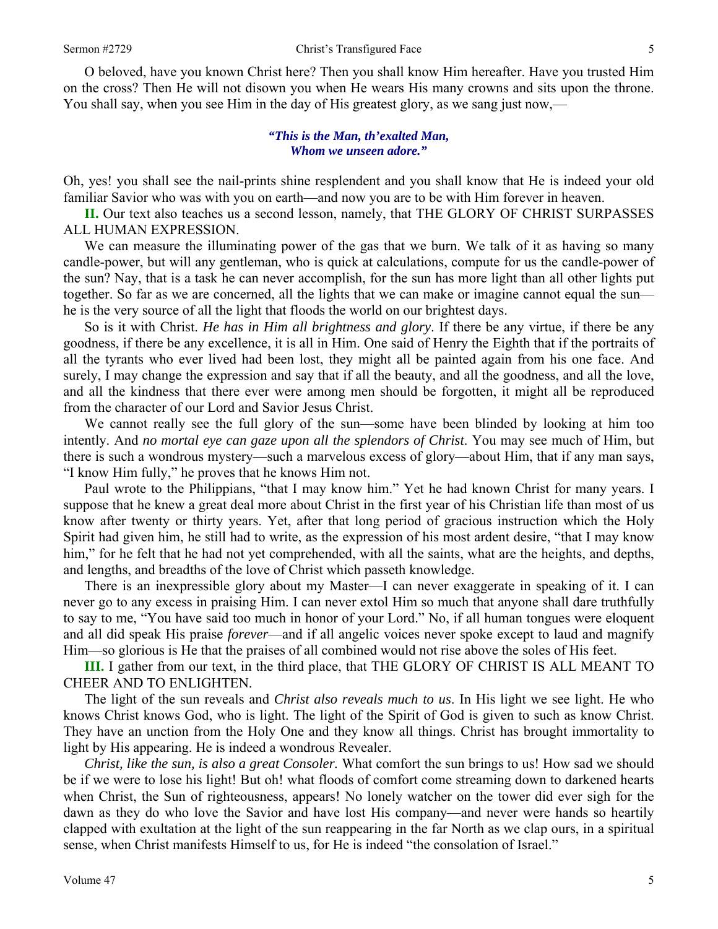O beloved, have you known Christ here? Then you shall know Him hereafter. Have you trusted Him on the cross? Then He will not disown you when He wears His many crowns and sits upon the throne. You shall say, when you see Him in the day of His greatest glory, as we sang just now,—

#### *"This is the Man, th'exalted Man, Whom we unseen adore."*

Oh, yes! you shall see the nail-prints shine resplendent and you shall know that He is indeed your old familiar Savior who was with you on earth—and now you are to be with Him forever in heaven.

**II.** Our text also teaches us a second lesson, namely, that THE GLORY OF CHRIST SURPASSES ALL HUMAN EXPRESSION.

We can measure the illuminating power of the gas that we burn. We talk of it as having so many candle-power, but will any gentleman, who is quick at calculations, compute for us the candle-power of the sun? Nay, that is a task he can never accomplish, for the sun has more light than all other lights put together. So far as we are concerned, all the lights that we can make or imagine cannot equal the sun he is the very source of all the light that floods the world on our brightest days.

 So is it with Christ. *He has in Him all brightness and glory*. If there be any virtue, if there be any goodness, if there be any excellence, it is all in Him. One said of Henry the Eighth that if the portraits of all the tyrants who ever lived had been lost, they might all be painted again from his one face. And surely, I may change the expression and say that if all the beauty, and all the goodness, and all the love, and all the kindness that there ever were among men should be forgotten, it might all be reproduced from the character of our Lord and Savior Jesus Christ.

 We cannot really see the full glory of the sun—some have been blinded by looking at him too intently. And *no mortal eye can gaze upon all the splendors of Christ*. You may see much of Him, but there is such a wondrous mystery—such a marvelous excess of glory—about Him, that if any man says, "I know Him fully," he proves that he knows Him not.

 Paul wrote to the Philippians, "that I may know him." Yet he had known Christ for many years. I suppose that he knew a great deal more about Christ in the first year of his Christian life than most of us know after twenty or thirty years. Yet, after that long period of gracious instruction which the Holy Spirit had given him, he still had to write, as the expression of his most ardent desire, "that I may know him," for he felt that he had not yet comprehended, with all the saints, what are the heights, and depths, and lengths, and breadths of the love of Christ which passeth knowledge.

 There is an inexpressible glory about my Master—I can never exaggerate in speaking of it. I can never go to any excess in praising Him. I can never extol Him so much that anyone shall dare truthfully to say to me, "You have said too much in honor of your Lord." No, if all human tongues were eloquent and all did speak His praise *forever*—and if all angelic voices never spoke except to laud and magnify Him—so glorious is He that the praises of all combined would not rise above the soles of His feet.

**III.** I gather from our text, in the third place, that THE GLORY OF CHRIST IS ALL MEANT TO CHEER AND TO ENLIGHTEN.

 The light of the sun reveals and *Christ also reveals much to us*. In His light we see light. He who knows Christ knows God, who is light. The light of the Spirit of God is given to such as know Christ. They have an unction from the Holy One and they know all things. Christ has brought immortality to light by His appearing. He is indeed a wondrous Revealer.

*Christ, like the sun, is also a great Consoler.* What comfort the sun brings to us! How sad we should be if we were to lose his light! But oh! what floods of comfort come streaming down to darkened hearts when Christ, the Sun of righteousness, appears! No lonely watcher on the tower did ever sigh for the dawn as they do who love the Savior and have lost His company—and never were hands so heartily clapped with exultation at the light of the sun reappearing in the far North as we clap ours, in a spiritual sense, when Christ manifests Himself to us, for He is indeed "the consolation of Israel."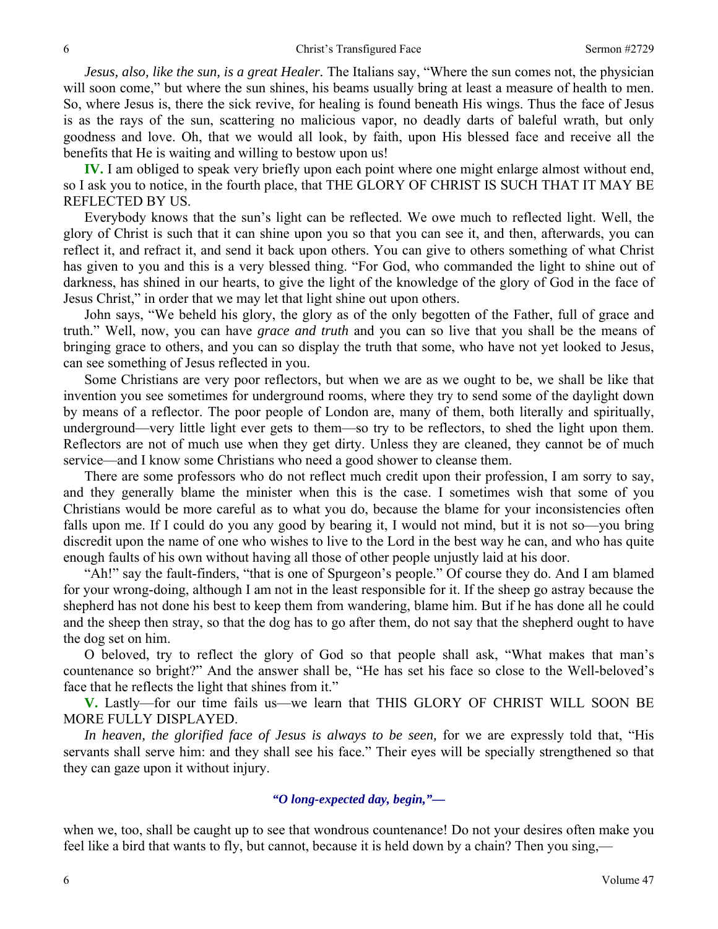*Jesus, also, like the sun, is a great Healer.* The Italians say, "Where the sun comes not, the physician will soon come," but where the sun shines, his beams usually bring at least a measure of health to men. So, where Jesus is, there the sick revive, for healing is found beneath His wings. Thus the face of Jesus is as the rays of the sun, scattering no malicious vapor, no deadly darts of baleful wrath, but only goodness and love. Oh, that we would all look, by faith, upon His blessed face and receive all the benefits that He is waiting and willing to bestow upon us!

**IV.** I am obliged to speak very briefly upon each point where one might enlarge almost without end, so I ask you to notice, in the fourth place, that THE GLORY OF CHRIST IS SUCH THAT IT MAY BE REFLECTED BY US.

 Everybody knows that the sun's light can be reflected. We owe much to reflected light. Well, the glory of Christ is such that it can shine upon you so that you can see it, and then, afterwards, you can reflect it, and refract it, and send it back upon others. You can give to others something of what Christ has given to you and this is a very blessed thing. "For God, who commanded the light to shine out of darkness, has shined in our hearts, to give the light of the knowledge of the glory of God in the face of Jesus Christ," in order that we may let that light shine out upon others.

 John says, "We beheld his glory, the glory as of the only begotten of the Father, full of grace and truth." Well, now, you can have *grace and truth* and you can so live that you shall be the means of bringing grace to others, and you can so display the truth that some, who have not yet looked to Jesus, can see something of Jesus reflected in you.

 Some Christians are very poor reflectors, but when we are as we ought to be, we shall be like that invention you see sometimes for underground rooms, where they try to send some of the daylight down by means of a reflector. The poor people of London are, many of them, both literally and spiritually, underground—very little light ever gets to them—so try to be reflectors, to shed the light upon them. Reflectors are not of much use when they get dirty. Unless they are cleaned, they cannot be of much service—and I know some Christians who need a good shower to cleanse them.

 There are some professors who do not reflect much credit upon their profession, I am sorry to say, and they generally blame the minister when this is the case. I sometimes wish that some of you Christians would be more careful as to what you do, because the blame for your inconsistencies often falls upon me. If I could do you any good by bearing it, I would not mind, but it is not so—you bring discredit upon the name of one who wishes to live to the Lord in the best way he can, and who has quite enough faults of his own without having all those of other people unjustly laid at his door.

 "Ah!" say the fault-finders, "that is one of Spurgeon's people." Of course they do. And I am blamed for your wrong-doing, although I am not in the least responsible for it. If the sheep go astray because the shepherd has not done his best to keep them from wandering, blame him. But if he has done all he could and the sheep then stray, so that the dog has to go after them, do not say that the shepherd ought to have the dog set on him.

 O beloved, try to reflect the glory of God so that people shall ask, "What makes that man's countenance so bright?" And the answer shall be, "He has set his face so close to the Well-beloved's face that he reflects the light that shines from it."

**V.** Lastly—for our time fails us—we learn that THIS GLORY OF CHRIST WILL SOON BE MORE FULLY DISPLAYED.

*In heaven, the glorified face of Jesus is always to be seen,* for we are expressly told that, "His servants shall serve him: and they shall see his face." Their eyes will be specially strengthened so that they can gaze upon it without injury.

### *"O long-expected day, begin,"—*

when we, too, shall be caught up to see that wondrous countenance! Do not your desires often make you feel like a bird that wants to fly, but cannot, because it is held down by a chain? Then you sing,—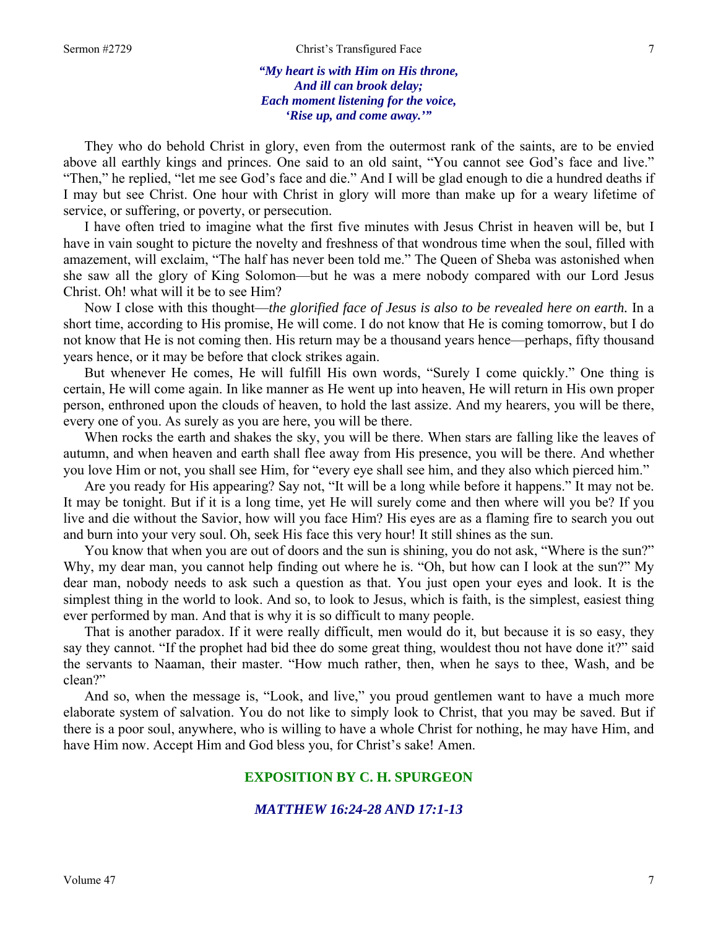*"My heart is with Him on His throne, And ill can brook delay; Each moment listening for the voice, 'Rise up, and come away.'"* 

They who do behold Christ in glory, even from the outermost rank of the saints, are to be envied above all earthly kings and princes. One said to an old saint, "You cannot see God's face and live." "Then," he replied, "let me see God's face and die." And I will be glad enough to die a hundred deaths if I may but see Christ. One hour with Christ in glory will more than make up for a weary lifetime of service, or suffering, or poverty, or persecution.

 I have often tried to imagine what the first five minutes with Jesus Christ in heaven will be, but I have in vain sought to picture the novelty and freshness of that wondrous time when the soul, filled with amazement, will exclaim, "The half has never been told me." The Queen of Sheba was astonished when she saw all the glory of King Solomon—but he was a mere nobody compared with our Lord Jesus Christ. Oh! what will it be to see Him?

 Now I close with this thought—*the glorified face of Jesus is also to be revealed here on earth.* In a short time, according to His promise, He will come. I do not know that He is coming tomorrow, but I do not know that He is not coming then. His return may be a thousand years hence—perhaps, fifty thousand years hence, or it may be before that clock strikes again.

 But whenever He comes, He will fulfill His own words, "Surely I come quickly." One thing is certain, He will come again. In like manner as He went up into heaven, He will return in His own proper person, enthroned upon the clouds of heaven, to hold the last assize. And my hearers, you will be there, every one of you. As surely as you are here, you will be there.

 When rocks the earth and shakes the sky, you will be there. When stars are falling like the leaves of autumn, and when heaven and earth shall flee away from His presence, you will be there. And whether you love Him or not, you shall see Him, for "every eye shall see him, and they also which pierced him."

 Are you ready for His appearing? Say not, "It will be a long while before it happens." It may not be. It may be tonight. But if it is a long time, yet He will surely come and then where will you be? If you live and die without the Savior, how will you face Him? His eyes are as a flaming fire to search you out and burn into your very soul. Oh, seek His face this very hour! It still shines as the sun.

 You know that when you are out of doors and the sun is shining, you do not ask, "Where is the sun?" Why, my dear man, you cannot help finding out where he is. "Oh, but how can I look at the sun?" My dear man, nobody needs to ask such a question as that. You just open your eyes and look. It is the simplest thing in the world to look. And so, to look to Jesus, which is faith, is the simplest, easiest thing ever performed by man. And that is why it is so difficult to many people.

 That is another paradox. If it were really difficult, men would do it, but because it is so easy, they say they cannot. "If the prophet had bid thee do some great thing, wouldest thou not have done it?" said the servants to Naaman, their master. "How much rather, then, when he says to thee, Wash, and be clean?"

 And so, when the message is, "Look, and live," you proud gentlemen want to have a much more elaborate system of salvation. You do not like to simply look to Christ, that you may be saved. But if there is a poor soul, anywhere, who is willing to have a whole Christ for nothing, he may have Him, and have Him now. Accept Him and God bless you, for Christ's sake! Amen.

#### **EXPOSITION BY C. H. SPURGEON**

#### *MATTHEW 16:24-28 AND 17:1-13*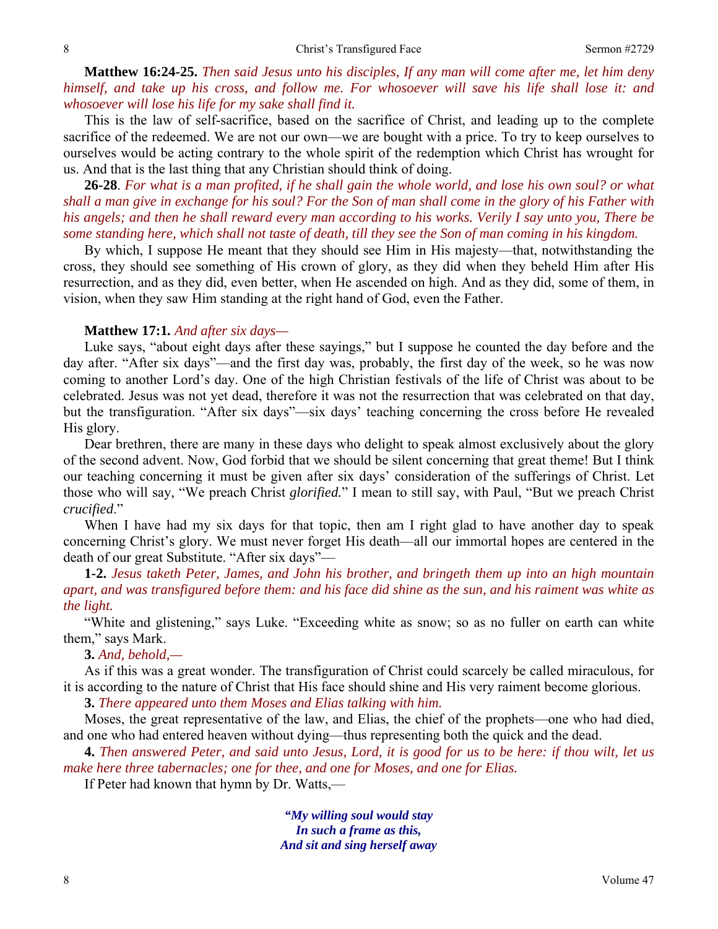**Matthew 16:24-25.** *Then said Jesus unto his disciples, If any man will come after me, let him deny himself, and take up his cross, and follow me. For whosoever will save his life shall lose it: and whosoever will lose his life for my sake shall find it.* 

This is the law of self-sacrifice, based on the sacrifice of Christ, and leading up to the complete sacrifice of the redeemed. We are not our own—we are bought with a price. To try to keep ourselves to ourselves would be acting contrary to the whole spirit of the redemption which Christ has wrought for us. And that is the last thing that any Christian should think of doing.

**26-28**. *For what is a man profited, if he shall gain the whole world, and lose his own soul? or what shall a man give in exchange for his soul? For the Son of man shall come in the glory of his Father with his angels; and then he shall reward every man according to his works. Verily I say unto you, There be some standing here, which shall not taste of death, till they see the Son of man coming in his kingdom.* 

By which, I suppose He meant that they should see Him in His majesty—that, notwithstanding the cross, they should see something of His crown of glory, as they did when they beheld Him after His resurrection, and as they did, even better, when He ascended on high. And as they did, some of them, in vision, when they saw Him standing at the right hand of God, even the Father.

#### **Matthew 17:1***. And after six days—*

Luke says, "about eight days after these sayings," but I suppose he counted the day before and the day after. "After six days"—and the first day was, probably, the first day of the week, so he was now coming to another Lord's day. One of the high Christian festivals of the life of Christ was about to be celebrated. Jesus was not yet dead, therefore it was not the resurrection that was celebrated on that day, but the transfiguration. "After six days"—six days' teaching concerning the cross before He revealed His glory.

 Dear brethren, there are many in these days who delight to speak almost exclusively about the glory of the second advent. Now, God forbid that we should be silent concerning that great theme! But I think our teaching concerning it must be given after six days' consideration of the sufferings of Christ. Let those who will say, "We preach Christ *glorified.*" I mean to still say, with Paul, "But we preach Christ *crucified*."

When I have had my six days for that topic, then am I right glad to have another day to speak concerning Christ's glory. We must never forget His death—all our immortal hopes are centered in the death of our great Substitute. "After six days"—

**1-2.** *Jesus taketh Peter, James, and John his brother, and bringeth them up into an high mountain apart, and was transfigured before them: and his face did shine as the sun, and his raiment was white as the light.* 

"White and glistening," says Luke. "Exceeding white as snow; so as no fuller on earth can white them," says Mark.

**3.** *And, behold,—* 

As if this was a great wonder. The transfiguration of Christ could scarcely be called miraculous, for it is according to the nature of Christ that His face should shine and His very raiment become glorious.

**3.** *There appeared unto them Moses and Elias talking with him.* 

Moses, the great representative of the law, and Elias, the chief of the prophets—one who had died, and one who had entered heaven without dying—thus representing both the quick and the dead.

**4.** *Then answered Peter, and said unto Jesus, Lord, it is good for us to be here: if thou wilt, let us make here three tabernacles; one for thee, and one for Moses, and one for Elias.* 

If Peter had known that hymn by Dr. Watts,—

*"My willing soul would stay In such a frame as this, And sit and sing herself away*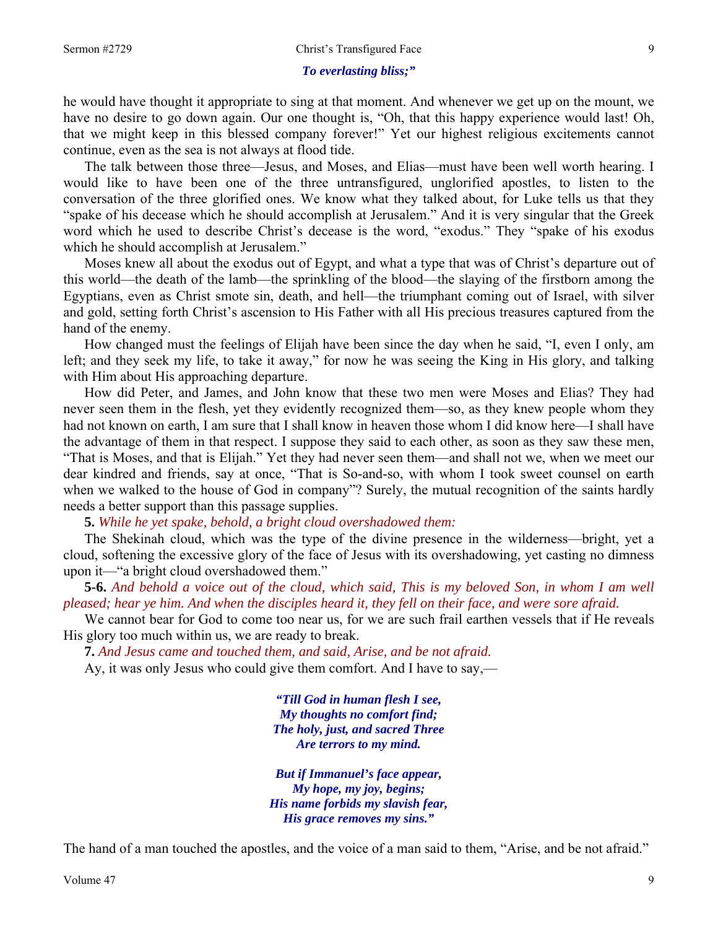#### *To everlasting bliss;"*

he would have thought it appropriate to sing at that moment. And whenever we get up on the mount, we have no desire to go down again. Our one thought is, "Oh, that this happy experience would last! Oh, that we might keep in this blessed company forever!" Yet our highest religious excitements cannot continue, even as the sea is not always at flood tide.

 The talk between those three—Jesus, and Moses, and Elias—must have been well worth hearing. I would like to have been one of the three untransfigured, unglorified apostles, to listen to the conversation of the three glorified ones. We know what they talked about, for Luke tells us that they "spake of his decease which he should accomplish at Jerusalem." And it is very singular that the Greek word which he used to describe Christ's decease is the word, "exodus." They "spake of his exodus which he should accomplish at Jerusalem."

 Moses knew all about the exodus out of Egypt, and what a type that was of Christ's departure out of this world—the death of the lamb—the sprinkling of the blood—the slaying of the firstborn among the Egyptians, even as Christ smote sin, death, and hell—the triumphant coming out of Israel, with silver and gold, setting forth Christ's ascension to His Father with all His precious treasures captured from the hand of the enemy.

 How changed must the feelings of Elijah have been since the day when he said, "I, even I only, am left; and they seek my life, to take it away," for now he was seeing the King in His glory, and talking with Him about His approaching departure.

 How did Peter, and James, and John know that these two men were Moses and Elias? They had never seen them in the flesh, yet they evidently recognized them—so, as they knew people whom they had not known on earth, I am sure that I shall know in heaven those whom I did know here—I shall have the advantage of them in that respect. I suppose they said to each other, as soon as they saw these men, "That is Moses, and that is Elijah." Yet they had never seen them—and shall not we, when we meet our dear kindred and friends, say at once, "That is So-and-so, with whom I took sweet counsel on earth when we walked to the house of God in company"? Surely, the mutual recognition of the saints hardly needs a better support than this passage supplies.

**5.** *While he yet spake, behold, a bright cloud overshadowed them:* 

The Shekinah cloud, which was the type of the divine presence in the wilderness—bright, yet a cloud, softening the excessive glory of the face of Jesus with its overshadowing, yet casting no dimness upon it—"a bright cloud overshadowed them."

**5-6.** *And behold a voice out of the cloud, which said, This is my beloved Son, in whom I am well pleased; hear ye him. And when the disciples heard it, they fell on their face, and were sore afraid.* 

We cannot bear for God to come too near us, for we are such frail earthen vessels that if He reveals His glory too much within us, we are ready to break.

**7.** *And Jesus came and touched them, and said, Arise, and be not afraid.* 

Ay, it was only Jesus who could give them comfort. And I have to say,—

*"Till God in human flesh I see, My thoughts no comfort find; The holy, just, and sacred Three Are terrors to my mind.* 

*But if Immanuel's face appear, My hope, my joy, begins; His name forbids my slavish fear, His grace removes my sins."* 

The hand of a man touched the apostles, and the voice of a man said to them, "Arise, and be not afraid."